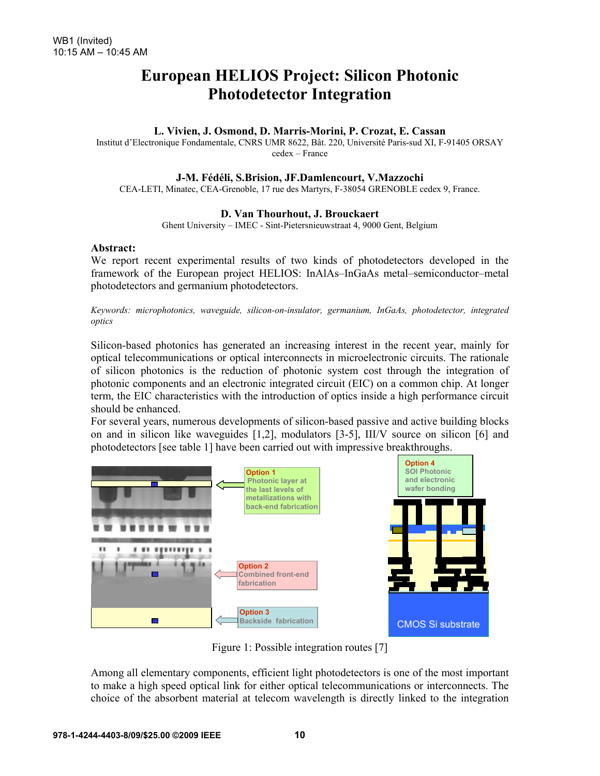# **European HELIOS Project: Silicon Photonic Photodetector Integration**

## **L. Vivien, J. Osmond, D. Marris-Morini, P. Crozat, E. Cassan**

Institut d'Electronique Fondamentale, CNRS UMR 8622, Bât. 220, Université Paris-sud XI, F-91405 ORSAY cedex – France

#### **J-M. Fédéli, S.Brision, JF.Damlencourt, V.Mazzochi**

CEA-LETI, Minatec, CEA-Grenoble, 17 rue des Martyrs, F-38054 GRENOBLE cedex 9, France.

### **D. Van Thourhout, J. Brouckaert**

Ghent University – IMEC - Sint-Pietersnieuwstraat 4, 9000 Gent, Belgium

#### **Abstract:**

We report recent experimental results of two kinds of photodetectors developed in the framework of the European project HELIOS: InAlAs–InGaAs metal–semiconductor–metal photodetectors and germanium photodetectors.

*Keywords: microphotonics, waveguide, silicon-on-insulator, germanium, InGaAs, photodetector, integrated optics* 

Silicon-based photonics has generated an increasing interest in the recent year, mainly for optical telecommunications or optical interconnects in microelectronic circuits. The rationale of silicon photonics is the reduction of photonic system cost through the integration of photonic components and an electronic integrated circuit (EIC) on a common chip. At longer term, the EIC characteristics with the introduction of optics inside a high performance circuit should be enhanced.

For several years, numerous developments of silicon-based passive and active building blocks on and in silicon like waveguides [1,2], modulators [3-5], III/V source on silicon [6] and photodetectors [see table 1] have been carried out with impressive breakthroughs.



Figure 1: Possible integration routes [7]

Among all elementary components, efficient light photodetectors is one of the most important to make a high speed optical link for either optical telecommunications or interconnects. The choice of the absorbent material at telecom wavelength is directly linked to the integration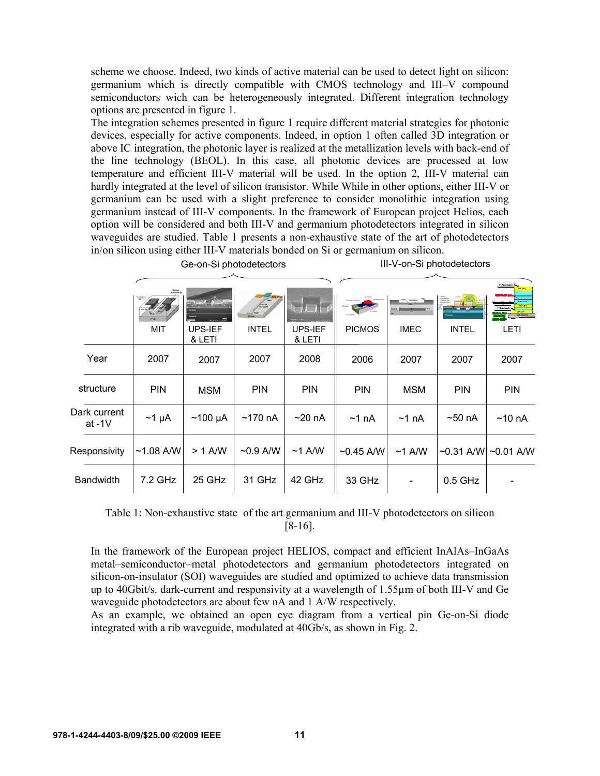scheme we choose. Indeed, two kinds of active material can be used to detect light on silicon: germanium which is directly compatible with CMOS technology and III–V compound semiconductors wich can be heterogeneously integrated. Different integration technology options are presented in figure 1.

The integration schemes presented in figure 1 require different material strategies for photonic devices, especially for active components. Indeed, in option 1 often called 3D integration or above IC integration, the photonic layer is realized at the metallization levels with back-end of the line technology (BEOL). In this case, all photonic devices are processed at low temperature and efficient III-V material will be used. In the option 2, III-V material can hardly integrated at the level of silicon transistor. While While in other options, either III-V or germanium can be used with a slight preference to consider monolithic integration using germanium instead of III-V components. In the framework of European project Helios, each option will be considered and both III-V and germanium photodetectors integrated in silicon waveguides are studied. Table 1 presents a non-exhaustive state of the art of photodetectors in/on silicon using either III-V materials bonded on Si or germanium on silicon.

Ge-on-Si photodetectors **III-V-on-Si photodetectors** 

|                          |             |                   |                  | let                      |               | <u>and and a group</u> | 10000        | N Contact<br><b>BUSINESS ALL</b> |
|--------------------------|-------------|-------------------|------------------|--------------------------|---------------|------------------------|--------------|----------------------------------|
|                          | <b>MIT</b>  | UPS-IEF<br>& LETI | <b>INTEL</b>     | <b>UPS-IEF</b><br>& LETI | <b>PICMOS</b> | <b>IMEC</b>            | <b>INTEL</b> | LETI                             |
| Year                     | 2007        | 2007              | 2007             | 2008                     | 2006          | 2007                   | 2007         | 2007                             |
| structure                | <b>PIN</b>  | <b>MSM</b>        | <b>PIN</b>       | <b>PIN</b>               | <b>PIN</b>    | <b>MSM</b>             | <b>PIN</b>   | <b>PIN</b>                       |
| Dark current<br>at $-1V$ | $~1$ µA     | $~100 \mu A$      | $~170~\text{nA}$ | ~20~nA                   | $~1$ nA       | $~1$ nA                | $~50$ nA     | ~10~h                            |
| Responsivity             | $~1.08$ A/W | $> 1$ A/W         | $\sim$ 0.9 A/W   | $~1$ A/W                 | $~10.45$ A/W  | $~1$ A/W               |              | $\sim$ 0.31 A/W  $\sim$ 0.01 A/W |
| <b>Bandwidth</b>         | 7.2 GHz     | 25 GHz            | 31 GHz           | 42 GHz                   | 33 GHz        |                        | $0.5$ GHz    |                                  |

Table 1: Non-exhaustive state of the art germanium and III-V photodetectors on silicon [8-16].

In the framework of the European project HELIOS, compact and efficient InAlAs–InGaAs metal–semiconductor–metal photodetectors and germanium photodetectors integrated on silicon-on-insulator (SOI) waveguides are studied and optimized to achieve data transmission up to 40Gbit/s. dark-current and responsivity at a wavelength of 1.55µm of both III-V and Ge waveguide photodetectors are about few nA and 1 A/W respectively.

As an example, we obtained an open eye diagram from a vertical pin Ge-on-Si diode integrated with a rib waveguide, modulated at 40Gb/s, as shown in Fig. 2.